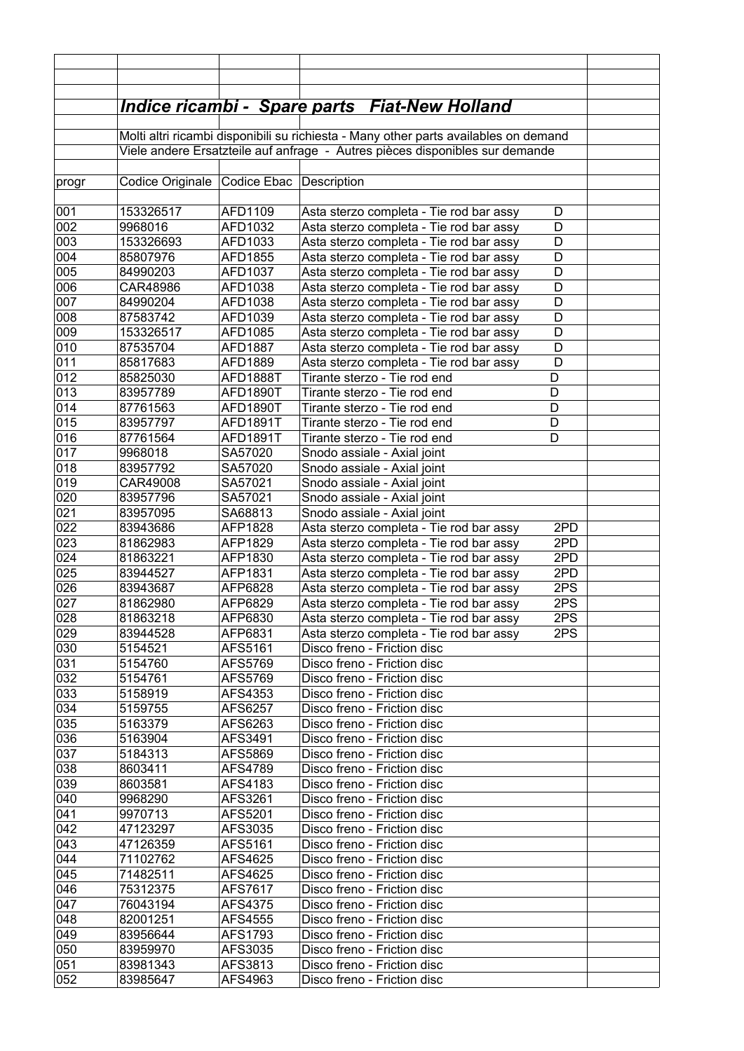|            |                      |                           | <u> Indice ricambi - Spare parts Fiat-New Holland</u>                                |        |  |
|------------|----------------------|---------------------------|--------------------------------------------------------------------------------------|--------|--|
|            |                      |                           | Molti altri ricambi disponibili su richiesta - Many other parts availables on demand |        |  |
|            |                      |                           | Viele andere Ersatzteile auf anfrage - Autres pièces disponibles sur demande         |        |  |
|            |                      |                           |                                                                                      |        |  |
| progr      | Codice Originale     | Codice Ebac   Description |                                                                                      |        |  |
|            |                      |                           |                                                                                      |        |  |
| 001        | 153326517            | AFD1109                   | Asta sterzo completa - Tie rod bar assy                                              | D      |  |
| 002        | 9968016              | AFD1032                   | Asta sterzo completa - Tie rod bar assy                                              | D      |  |
| 003        | 153326693            | AFD1033                   | Asta sterzo completa - Tie rod bar assy                                              | D      |  |
| 004        | 85807976             | AFD1855                   | Asta sterzo completa - Tie rod bar assy                                              | D      |  |
| 005        | 84990203             | AFD1037                   | Asta sterzo completa - Tie rod bar assy                                              | D      |  |
| 006<br>007 | CAR48986             | AFD1038                   | Asta sterzo completa - Tie rod bar assy                                              | D<br>D |  |
| 008        | 84990204<br>87583742 | AFD1038<br>AFD1039        | Asta sterzo completa - Tie rod bar assy<br>Asta sterzo completa - Tie rod bar assy   | D      |  |
| 009        | 153326517            | AFD1085                   | Asta sterzo completa - Tie rod bar assy                                              | D      |  |
| 010        | 87535704             | AFD1887                   | Asta sterzo completa - Tie rod bar assy                                              | D      |  |
| 011        | 85817683             | AFD1889                   | Asta sterzo completa - Tie rod bar assy                                              | D      |  |
| 012        | 85825030             | AFD1888T                  | Tirante sterzo - Tie rod end                                                         | D      |  |
| 013        | 83957789             | AFD1890T                  | Tirante sterzo - Tie rod end                                                         | D      |  |
| 014        | 87761563             | AFD1890T                  | Tirante sterzo - Tie rod end                                                         | D      |  |
| 015        | 83957797             | <b>AFD1891T</b>           | Tirante sterzo - Tie rod end                                                         | D      |  |
| 016        | 87761564             | AFD1891T                  | Tirante sterzo - Tie rod end                                                         | D      |  |
| 017        | 9968018              | SA57020                   | Snodo assiale - Axial joint                                                          |        |  |
| 018        | 83957792             | SA57020                   | Snodo assiale - Axial joint                                                          |        |  |
| 019        | CAR49008             | SA57021                   | Snodo assiale - Axial joint                                                          |        |  |
| 020        | 83957796             | SA57021                   | Snodo assiale - Axial joint                                                          |        |  |
| 021        | 83957095             | SA68813                   | Snodo assiale - Axial joint                                                          |        |  |
| 022        | 83943686             | AFP1828                   | Asta sterzo completa - Tie rod bar assy                                              | 2PD    |  |
| 023        | 81862983             | AFP1829                   | Asta sterzo completa - Tie rod bar assy                                              | 2PD    |  |
| 024        | 81863221             | AFP1830                   | Asta sterzo completa - Tie rod bar assy                                              | 2PD    |  |
| 025        | 83944527             | AFP1831                   | Asta sterzo completa - Tie rod bar assy                                              | 2PD    |  |
| 026        | 83943687             | AFP6828                   | Asta sterzo completa - Tie rod bar assy                                              | 2PS    |  |
| 027        | 81862980             | AFP6829                   | Asta sterzo completa - Tie rod bar assy                                              | 2PS    |  |
| 028        | 81863218             | AFP6830                   | Asta sterzo completa - Tie rod bar assy                                              | 2PS    |  |
| 029        | 83944528             | AFP6831                   | Asta sterzo completa - Tie rod bar assy                                              | 2PS    |  |
| 030<br>031 | 5154521<br>5154760   | AFS5161<br>AFS5769        | Disco freno - Friction disc<br>Disco freno - Friction disc                           |        |  |
| 032        | 5154761              | AFS5769                   | Disco freno - Friction disc                                                          |        |  |
| 033        | 5158919              | AFS4353                   | Disco freno - Friction disc                                                          |        |  |
| 034        | 5159755              | AFS6257                   | Disco freno - Friction disc                                                          |        |  |
| 035        | 5163379              | AFS6263                   | Disco freno - Friction disc                                                          |        |  |
| 036        | 5163904              | AFS3491                   | Disco freno - Friction disc                                                          |        |  |
| 037        | 5184313              | AFS5869                   | Disco freno - Friction disc                                                          |        |  |
| 038        | 8603411              | AFS4789                   | Disco freno - Friction disc                                                          |        |  |
| 039        | 8603581              | AFS4183                   | Disco freno - Friction disc                                                          |        |  |
| 040        | 9968290              | AFS3261                   | Disco freno - Friction disc                                                          |        |  |
| 041        | 9970713              | AFS5201                   | Disco freno - Friction disc                                                          |        |  |
| 042        | 47123297             | AFS3035                   | Disco freno - Friction disc                                                          |        |  |
| 043        | 47126359             | AFS5161                   | Disco freno - Friction disc                                                          |        |  |
| 044        | 71102762             | AFS4625                   | Disco freno - Friction disc                                                          |        |  |
| 045        | 71482511             | AFS4625                   | Disco freno - Friction disc                                                          |        |  |
| 046        | 75312375             | AFS7617                   | Disco freno - Friction disc                                                          |        |  |
| 047        | 76043194             | AFS4375                   | Disco freno - Friction disc                                                          |        |  |
| 048        | 82001251             | AFS4555                   | Disco freno - Friction disc                                                          |        |  |
| 049        | 83956644             | AFS1793                   | Disco freno - Friction disc                                                          |        |  |
| 050        | 83959970             | AFS3035                   | Disco freno - Friction disc                                                          |        |  |
| 051        | 83981343             | AFS3813                   | Disco freno - Friction disc                                                          |        |  |
| 052        | 83985647             | AFS4963                   | Disco freno - Friction disc                                                          |        |  |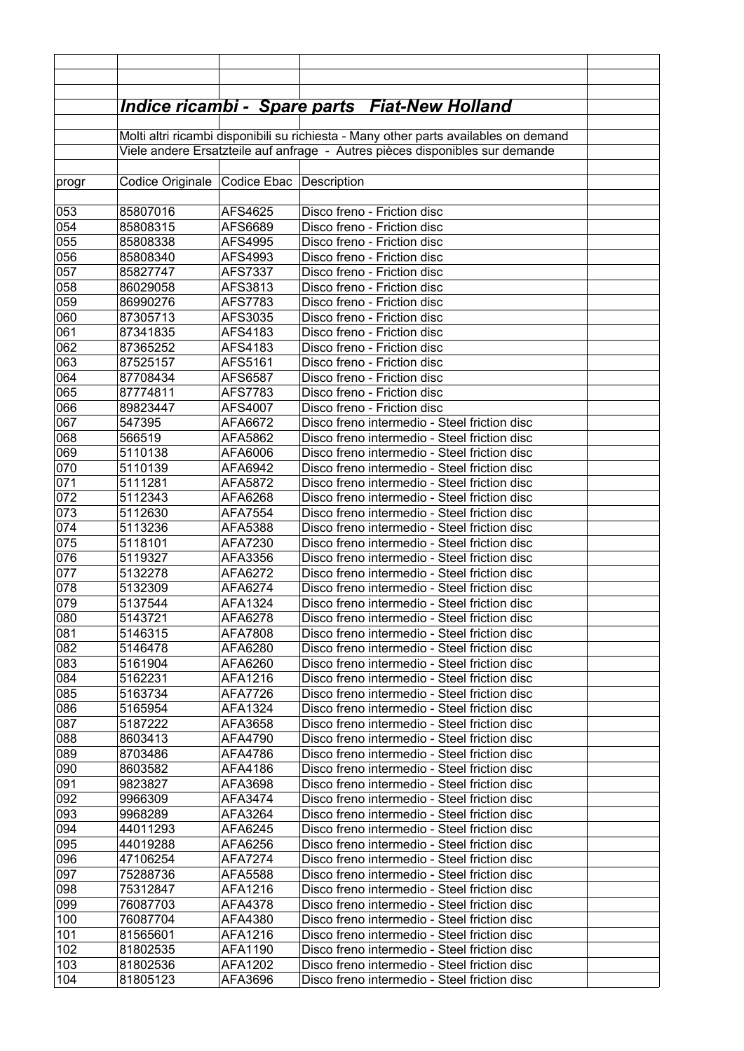|            |                      |                           | <u> Indice ricambi - Spare parts Fiat-New Holland</u>                                        |  |
|------------|----------------------|---------------------------|----------------------------------------------------------------------------------------------|--|
|            |                      |                           |                                                                                              |  |
|            |                      |                           | Molti altri ricambi disponibili su richiesta - Many other parts availables on demand         |  |
|            |                      |                           | Viele andere Ersatzteile auf anfrage - Autres pièces disponibles sur demande                 |  |
|            |                      |                           |                                                                                              |  |
| progr      | Codice Originale     | Codice Ebac   Description |                                                                                              |  |
|            |                      |                           |                                                                                              |  |
| 053        | 85807016             | AFS4625                   | Disco freno - Friction disc                                                                  |  |
| 054        | 85808315             | AFS6689                   | Disco freno - Friction disc                                                                  |  |
| 055        | 85808338             | AFS4995                   | Disco freno - Friction disc                                                                  |  |
| 056<br>057 | 85808340             | AFS4993                   | Disco freno - Friction disc<br>Disco freno - Friction disc                                   |  |
| 058        | 85827747<br>86029058 | AFS7337<br>AFS3813        | Disco freno - Friction disc                                                                  |  |
| 059        | 86990276             | AFS7783                   | Disco freno - Friction disc                                                                  |  |
| 060        | 87305713             | AFS3035                   | Disco freno - Friction disc                                                                  |  |
| 061        | 87341835             | AFS4183                   | Disco freno - Friction disc                                                                  |  |
| 062        | 87365252             | AFS4183                   | Disco freno - Friction disc                                                                  |  |
| 063        | 87525157             | AFS5161                   | Disco freno - Friction disc                                                                  |  |
| 064        | 87708434             | AFS6587                   | Disco freno - Friction disc                                                                  |  |
| 065        | 87774811             | AFS7783                   | Disco freno - Friction disc                                                                  |  |
| 066        | 89823447             | AFS4007                   | Disco freno - Friction disc                                                                  |  |
| 067        | 547395               | AFA6672                   | Disco freno intermedio - Steel friction disc                                                 |  |
| 068        | 566519               | AFA5862                   | Disco freno intermedio - Steel friction disc                                                 |  |
| 069        | 5110138              | AFA6006                   | Disco freno intermedio - Steel friction disc                                                 |  |
| 070        | 5110139              | AFA6942                   | Disco freno intermedio - Steel friction disc                                                 |  |
| 071        | 5111281              | AFA5872                   | Disco freno intermedio - Steel friction disc                                                 |  |
| 072        | 5112343              | AFA6268                   | Disco freno intermedio - Steel friction disc                                                 |  |
| 073        | 5112630              | AFA7554                   | Disco freno intermedio - Steel friction disc                                                 |  |
| 074        | 5113236              | AFA5388                   | Disco freno intermedio - Steel friction disc                                                 |  |
| 075        | 5118101              | AFA7230                   | Disco freno intermedio - Steel friction disc                                                 |  |
| 076        | 5119327              | AFA3356                   | Disco freno intermedio - Steel friction disc                                                 |  |
| 077        | 5132278              | AFA6272                   | Disco freno intermedio - Steel friction disc                                                 |  |
| 078        | 5132309              | AFA6274                   | Disco freno intermedio - Steel friction disc                                                 |  |
| 079        | 5137544              | AFA1324<br>AFA6278        | Disco freno intermedio - Steel friction disc                                                 |  |
| 080<br>081 | 5143721<br>5146315   | AFA7808                   | Disco freno intermedio - Steel friction disc<br>Disco freno intermedio - Steel friction disc |  |
| 082        | 5146478              | AFA6280                   | Disco freno intermedio - Steel friction disc                                                 |  |
| 083        | 5161904              | AFA6260                   | Disco freno intermedio - Steel friction disc                                                 |  |
| 084        | 5162231              | AFA1216                   | Disco freno intermedio - Steel friction disc                                                 |  |
| 085        | 5163734              | AFA7726                   | Disco freno intermedio - Steel friction disc                                                 |  |
| 086        | 5165954              | AFA1324                   | Disco freno intermedio - Steel friction disc                                                 |  |
| 087        | 5187222              | AFA3658                   | Disco freno intermedio - Steel friction disc                                                 |  |
| 088        | 8603413              | AFA4790                   | Disco freno intermedio - Steel friction disc                                                 |  |
| 089        | 8703486              | AFA4786                   | Disco freno intermedio - Steel friction disc                                                 |  |
| 090        | 8603582              | AFA4186                   | Disco freno intermedio - Steel friction disc                                                 |  |
| 091        | 9823827              | AFA3698                   | Disco freno intermedio - Steel friction disc                                                 |  |
| 092        | 9966309              | AFA3474                   | Disco freno intermedio - Steel friction disc                                                 |  |
| 093        | 9968289              | AFA3264                   | Disco freno intermedio - Steel friction disc                                                 |  |
| 094        | 44011293             | AFA6245                   | Disco freno intermedio - Steel friction disc                                                 |  |
| 095        | 44019288             | AFA6256                   | Disco freno intermedio - Steel friction disc                                                 |  |
| 096        | 47106254             | AFA7274                   | Disco freno intermedio - Steel friction disc                                                 |  |
| 097        | 75288736             | AFA5588                   | Disco freno intermedio - Steel friction disc                                                 |  |
| 098        | 75312847             | AFA1216                   | Disco freno intermedio - Steel friction disc                                                 |  |
| 099        | 76087703             | AFA4378                   | Disco freno intermedio - Steel friction disc                                                 |  |
| 100        | 76087704             | AFA4380                   | Disco freno intermedio - Steel friction disc<br>Disco freno intermedio - Steel friction disc |  |
| 101<br>102 | 81565601<br>81802535 | AFA1216<br>AFA1190        | Disco freno intermedio - Steel friction disc                                                 |  |
| 103        | 81802536             | AFA1202                   | Disco freno intermedio - Steel friction disc                                                 |  |
| 104        | 81805123             | AFA3696                   | Disco freno intermedio - Steel friction disc                                                 |  |
|            |                      |                           |                                                                                              |  |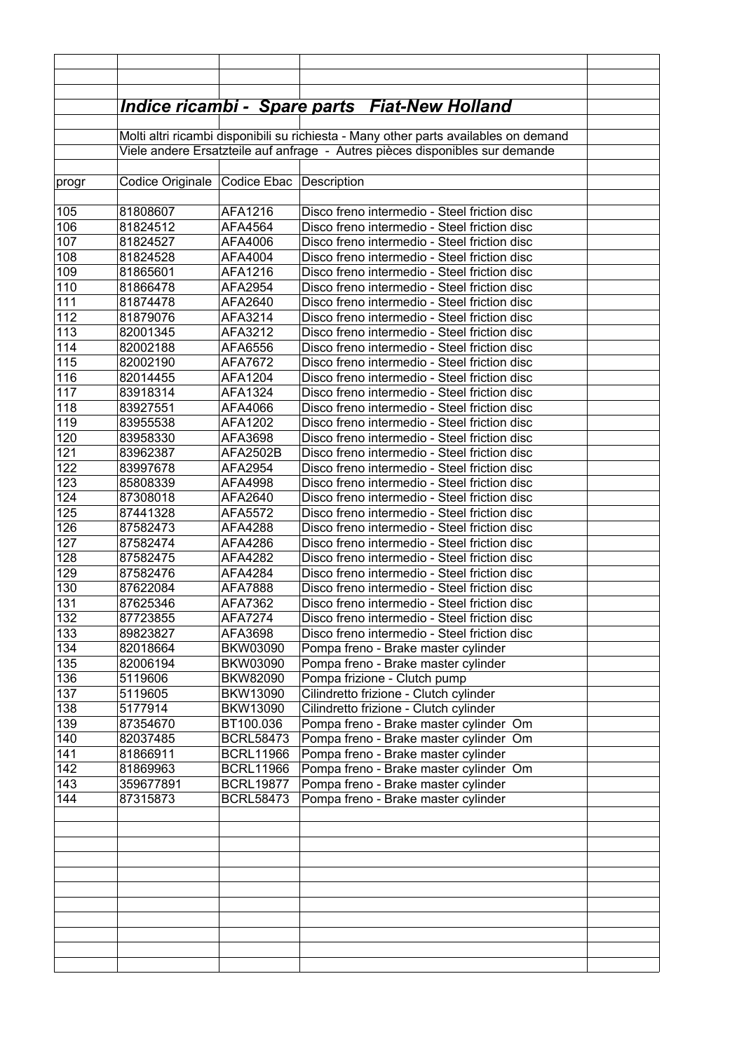|            |                                                                                      |                               | <u> Indice ricambi - Spare parts Fiat-New Holland</u>                                        |  |
|------------|--------------------------------------------------------------------------------------|-------------------------------|----------------------------------------------------------------------------------------------|--|
|            | Molti altri ricambi disponibili su richiesta - Many other parts availables on demand |                               |                                                                                              |  |
|            |                                                                                      |                               | Viele andere Ersatzteile auf anfrage - Autres pièces disponibles sur demande                 |  |
|            |                                                                                      |                               |                                                                                              |  |
| progr      | Codice Originale                                                                     | Codice Ebac   Description     |                                                                                              |  |
|            |                                                                                      |                               |                                                                                              |  |
| 105        | 81808607                                                                             | AFA1216                       | Disco freno intermedio - Steel friction disc                                                 |  |
| 106        | 81824512                                                                             | AFA4564                       | Disco freno intermedio - Steel friction disc                                                 |  |
| 107        | 81824527                                                                             | AFA4006                       | Disco freno intermedio - Steel friction disc                                                 |  |
| 108        | 81824528                                                                             | AFA4004                       | Disco freno intermedio - Steel friction disc                                                 |  |
| 109        | 81865601                                                                             | AFA1216                       | Disco freno intermedio - Steel friction disc                                                 |  |
| 110        | 81866478                                                                             | AFA2954                       | Disco freno intermedio - Steel friction disc                                                 |  |
| 111        | 81874478                                                                             | AFA2640                       | Disco freno intermedio - Steel friction disc                                                 |  |
| 112        | 81879076                                                                             | AFA3214                       | Disco freno intermedio - Steel friction disc                                                 |  |
| 113        | 82001345                                                                             | AFA3212                       | Disco freno intermedio - Steel friction disc<br>Disco freno intermedio - Steel friction disc |  |
| 114<br>115 | 82002188<br>82002190                                                                 | AFA6556<br>AFA7672            | Disco freno intermedio - Steel friction disc                                                 |  |
| 116        | 82014455                                                                             | AFA1204                       | Disco freno intermedio - Steel friction disc                                                 |  |
| 117        | 83918314                                                                             | AFA1324                       | Disco freno intermedio - Steel friction disc                                                 |  |
| 118        | 83927551                                                                             | AFA4066                       | Disco freno intermedio - Steel friction disc                                                 |  |
| 119        | 83955538                                                                             | AFA1202                       | Disco freno intermedio - Steel friction disc                                                 |  |
| 120        | 83958330                                                                             | AFA3698                       | Disco freno intermedio - Steel friction disc                                                 |  |
| 121        | 83962387                                                                             | AFA2502B                      | Disco freno intermedio - Steel friction disc                                                 |  |
| 122        | 83997678                                                                             | AFA2954                       | Disco freno intermedio - Steel friction disc                                                 |  |
| 123        | 85808339                                                                             | AFA4998                       | Disco freno intermedio - Steel friction disc                                                 |  |
| 124        | 87308018                                                                             | AFA2640                       | Disco freno intermedio - Steel friction disc                                                 |  |
| 125        | 87441328                                                                             | AFA5572                       | Disco freno intermedio - Steel friction disc                                                 |  |
| 126        | 87582473                                                                             | AFA4288                       | Disco freno intermedio - Steel friction disc                                                 |  |
| 127        | 87582474                                                                             | AFA4286                       | Disco freno intermedio - Steel friction disc                                                 |  |
| 128        | 87582475                                                                             | AFA4282                       | Disco freno intermedio - Steel friction disc                                                 |  |
| 129        | 87582476                                                                             | AFA4284                       | Disco freno intermedio - Steel friction disc                                                 |  |
| 130        | 87622084                                                                             | AFA7888                       | Disco freno intermedio - Steel friction disc                                                 |  |
| 131        | 87625346                                                                             | AFA7362                       | Disco freno intermedio - Steel friction disc                                                 |  |
| 132        | 87723855                                                                             | <b>AFA7274</b>                | Disco freno intermedio - Steel friction disc                                                 |  |
| 133        | 89823827                                                                             | AFA3698                       | Disco freno intermedio - Steel friction disc                                                 |  |
| 134        | 82018664                                                                             | <b>BKW03090</b>               | Pompa freno - Brake master cylinder                                                          |  |
| 135        | 82006194                                                                             | <b>BKW03090</b>               | Pompa freno - Brake master cylinder                                                          |  |
| 136        | 5119606                                                                              | <b>BKW82090</b>               | Pompa frizione - Clutch pump                                                                 |  |
| 137        | 5119605                                                                              | BKW13090                      | Cilindretto frizione - Clutch cylinder                                                       |  |
| 138        | 5177914                                                                              | BKW13090                      | Cilindretto frizione - Clutch cylinder                                                       |  |
| 139<br>140 | 87354670                                                                             | BT100.036<br><b>BCRL58473</b> | Pompa freno - Brake master cylinder Om                                                       |  |
| 141        | 82037485<br>81866911                                                                 | <b>BCRL11966</b>              | Pompa freno - Brake master cylinder Om<br>Pompa freno - Brake master cylinder                |  |
| 142        | 81869963                                                                             | <b>BCRL11966</b>              | Pompa freno - Brake master cylinder Om                                                       |  |
| 143        | 359677891                                                                            | <b>BCRL19877</b>              | Pompa freno - Brake master cylinder                                                          |  |
| 144        | 87315873                                                                             | <b>BCRL58473</b>              | Pompa freno - Brake master cylinder                                                          |  |
|            |                                                                                      |                               |                                                                                              |  |
|            |                                                                                      |                               |                                                                                              |  |
|            |                                                                                      |                               |                                                                                              |  |
|            |                                                                                      |                               |                                                                                              |  |
|            |                                                                                      |                               |                                                                                              |  |
|            |                                                                                      |                               |                                                                                              |  |
|            |                                                                                      |                               |                                                                                              |  |
|            |                                                                                      |                               |                                                                                              |  |
|            |                                                                                      |                               |                                                                                              |  |
|            |                                                                                      |                               |                                                                                              |  |
|            |                                                                                      |                               |                                                                                              |  |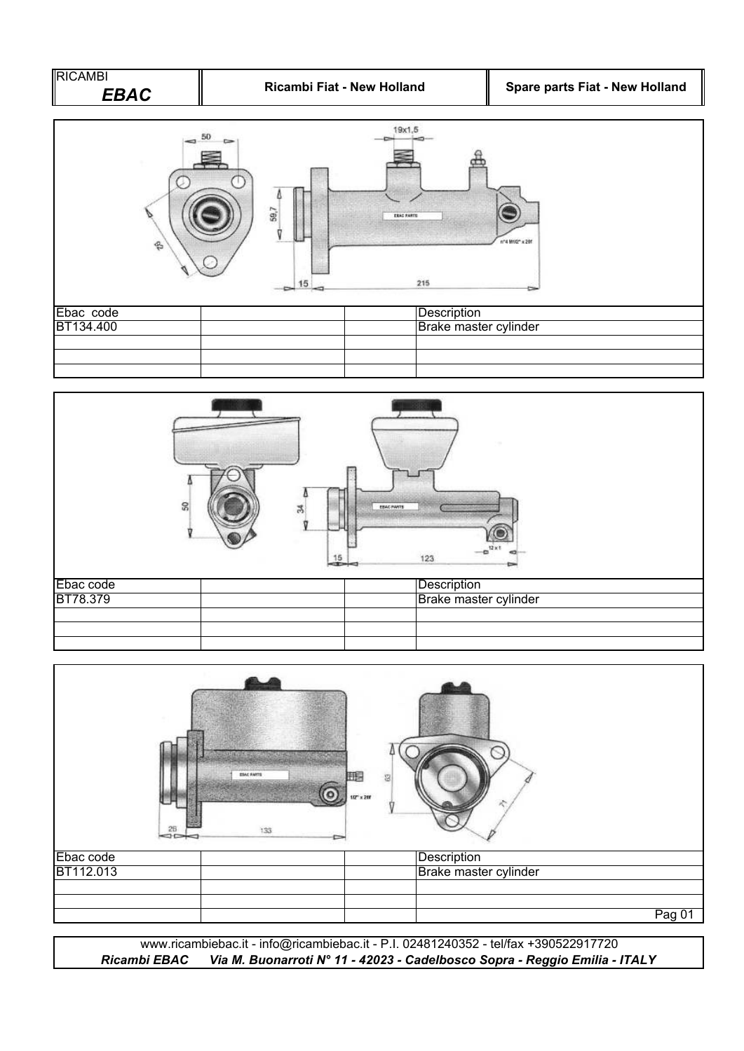



| $-26$     | ESAC FARTS<br>$107 \times 201$<br>133 | 耍                     |        |
|-----------|---------------------------------------|-----------------------|--------|
| Ebac code |                                       | Description           |        |
| BT112.013 |                                       | Brake master cylinder |        |
|           |                                       |                       |        |
|           |                                       |                       |        |
|           |                                       |                       | Pag 01 |

*Ricambi EBAC Via M. Buonarroti N° 11 - 42023 - Cadelbosco Sopra - Reggio Emilia - ITALY* www.ricambiebac.it - info@ricambiebac.it - P.I. 02481240352 - tel/fax +390522917720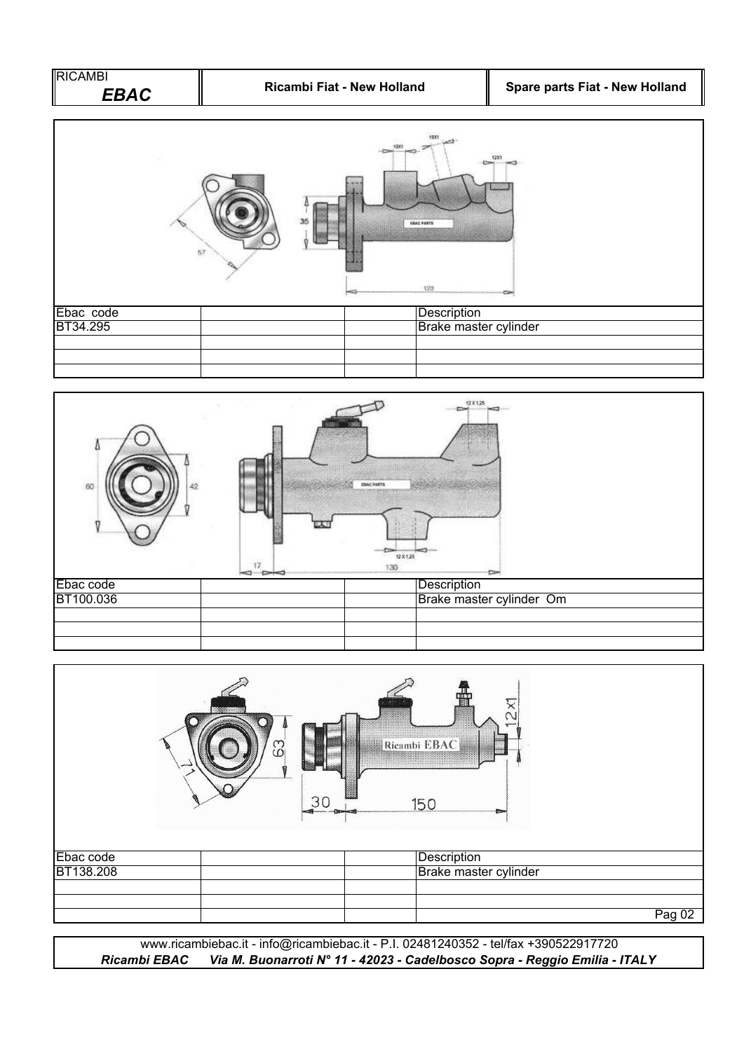



|           | <b><i><u>ROCKER OLD</u></i></b><br>က္က | m<br>Ricambi EBAC<br><u> Sombolining S</u><br>30<br>150 |
|-----------|----------------------------------------|---------------------------------------------------------|
| Ebac code |                                        | Description                                             |
| BT138.208 |                                        | Brake master cylinder                                   |
|           |                                        |                                                         |
|           |                                        |                                                         |
|           |                                        | Pag 02                                                  |

www.ricambiebac.it - info@ricambiebac.it - P.I. 02481240352 - tel/fax +390522917720 *Ricambi EBAC Via M. Buonarroti N° 11 - 42023 - Cadelbosco Sopra - Reggio Emilia - ITALY*